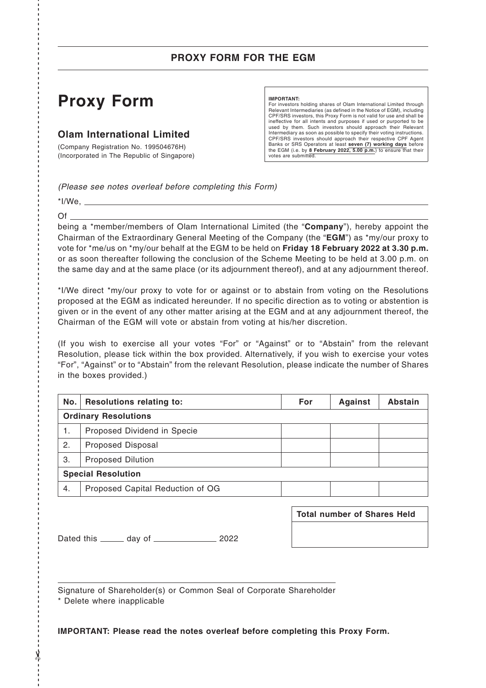## **PROXY FORM FOR THE EGM**

# **Proxy Form**

### **Olam International Limited**

(Company Registration No. 199504676H) (Incorporated in The Republic of Singapore)

### **IMPORTANT:**

For investors holding shares of Olam International Limited through Relevant Intermediaries (as defined in the Notice of EGM), including CPF/SRS investors, this Proxy Form is not valid for use and shall be ineffective for all intents and purposes if used or purported to be used by them. Such investors should approach their Relevant Intermediary as soon as possible to specify their voting instructions. CPF/SRS investors should approach their respective CPF Agent Banks or SRS Operators at least **seven (7) working days** before the EGM (i.e. by **8 February 2022, 5.00 p.m.**) to ensure that their votes are submitted.

*(Please see notes overleaf before completing this Form)*

 $*$ I/We,  $\_\_$ Of

------------------------------------------------------------------------------------------------------------------------------- ------------- - ✂

being a \*member/members of Olam International Limited (the "**Company**"), hereby appoint the Chairman of the Extraordinary General Meeting of the Company (the "**EGM**") as \*my/our proxy to vote for \*me/us on \*my/our behalf at the EGM to be held on **Friday 18 February 2022 at 3.30 p.m.** or as soon thereafter following the conclusion of the Scheme Meeting to be held at 3.00 p.m. on the same day and at the same place (or its adjournment thereof), and at any adjournment thereof.

\*I/We direct \*my/our proxy to vote for or against or to abstain from voting on the Resolutions proposed at the EGM as indicated hereunder. If no specific direction as to voting or abstention is given or in the event of any other matter arising at the EGM and at any adjournment thereof, the Chairman of the EGM will vote or abstain from voting at his/her discretion.

(If you wish to exercise all your votes "For" or "Against" or to "Abstain" from the relevant Resolution, please tick within the box provided. Alternatively, if you wish to exercise your votes "For", "Against" or to "Abstain" from the relevant Resolution, please indicate the number of Shares in the boxes provided.)

| No.                         | <b>Resolutions relating to:</b>  | For | <b>Against</b> | <b>Abstain</b> |  |  |
|-----------------------------|----------------------------------|-----|----------------|----------------|--|--|
| <b>Ordinary Resolutions</b> |                                  |     |                |                |  |  |
| 1.                          | Proposed Dividend in Specie      |     |                |                |  |  |
| 2.                          | <b>Proposed Disposal</b>         |     |                |                |  |  |
| 3.                          | <b>Proposed Dilution</b>         |     |                |                |  |  |
| <b>Special Resolution</b>   |                                  |     |                |                |  |  |
| 4.                          | Proposed Capital Reduction of OG |     |                |                |  |  |
|                             |                                  |     |                |                |  |  |

Dated this \_\_\_\_\_\_\_ day of \_\_\_\_\_\_\_\_\_\_\_\_\_\_\_\_\_\_ 2022

| Total number of Shares Held |  |  |  |  |  |
|-----------------------------|--|--|--|--|--|
|                             |  |  |  |  |  |
|                             |  |  |  |  |  |

Signature of Shareholder(s) or Common Seal of Corporate Shareholder \* Delete where inapplicable

**IMPORTANT: Please read the notes overleaf before completing this Proxy Form.**